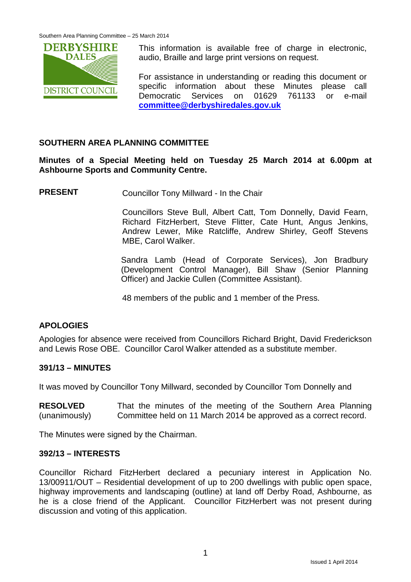

This information is available free of charge in electronic, audio, Braille and large print versions on request.

For assistance in understanding or reading this document or specific information about these Minutes please call Democratic Services on 01629 761133 or e-mail **[committee@derbyshiredales.gov.uk](mailto:committee@derbyshiredales.gov.uk)**

# **SOUTHERN AREA PLANNING COMMITTEE**

**Minutes of a Special Meeting held on Tuesday 25 March 2014 at 6.00pm at Ashbourne Sports and Community Centre.**

**PRESENT** Councillor Tony Millward - In the Chair

Councillors Steve Bull, Albert Catt, Tom Donnelly, David Fearn, Richard FitzHerbert, Steve Flitter, Cate Hunt, Angus Jenkins, Andrew Lewer, Mike Ratcliffe, Andrew Shirley, Geoff Stevens MBE, Carol Walker.

Sandra Lamb (Head of Corporate Services), Jon Bradbury (Development Control Manager), Bill Shaw (Senior Planning Officer) and Jackie Cullen (Committee Assistant).

48 members of the public and 1 member of the Press.

# **APOLOGIES**

Apologies for absence were received from Councillors Richard Bright, David Frederickson and Lewis Rose OBE. Councillor Carol Walker attended as a substitute member.

## **391/13 – MINUTES**

It was moved by Councillor Tony Millward, seconded by Councillor Tom Donnelly and

**RESOLVED** (unanimously) That the minutes of the meeting of the Southern Area Planning Committee held on 11 March 2014 be approved as a correct record.

The Minutes were signed by the Chairman.

#### **392/13 – INTERESTS**

Councillor Richard FitzHerbert declared a pecuniary interest in Application No. 13/00911/OUT – Residential development of up to 200 dwellings with public open space, highway improvements and landscaping (outline) at land off Derby Road, Ashbourne, as he is a close friend of the Applicant. Councillor FitzHerbert was not present during discussion and voting of this application.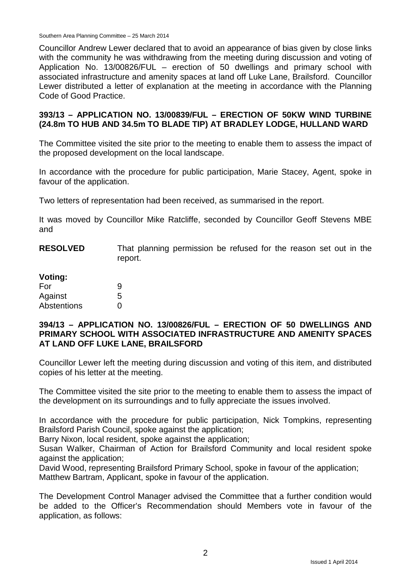Southern Area Planning Committee – 25 March 2014

Councillor Andrew Lewer declared that to avoid an appearance of bias given by close links with the community he was withdrawing from the meeting during discussion and voting of Application No. 13/00826/FUL – erection of 50 dwellings and primary school with associated infrastructure and amenity spaces at land off Luke Lane, Brailsford. Councillor Lewer distributed a letter of explanation at the meeting in accordance with the Planning Code of Good Practice.

## **393/13 – APPLICATION NO. 13/00839/FUL – ERECTION OF 50KW WIND TURBINE (24.8m TO HUB AND 34.5m TO BLADE TIP) AT BRADLEY LODGE, HULLAND WARD**

The Committee visited the site prior to the meeting to enable them to assess the impact of the proposed development on the local landscape.

In accordance with the procedure for public participation, Marie Stacey, Agent, spoke in favour of the application.

Two letters of representation had been received, as summarised in the report.

It was moved by Councillor Mike Ratcliffe, seconded by Councillor Geoff Stevens MBE and

**RESOLVED** That planning permission be refused for the reason set out in the report.

# **Voting:**

| For         | 9 |
|-------------|---|
| Against     | 5 |
| Abstentions | 0 |

#### **394/13 – APPLICATION NO. 13/00826/FUL – ERECTION OF 50 DWELLINGS AND PRIMARY SCHOOL WITH ASSOCIATED INFRASTRUCTURE AND AMENITY SPACES AT LAND OFF LUKE LANE, BRAILSFORD**

Councillor Lewer left the meeting during discussion and voting of this item, and distributed copies of his letter at the meeting.

The Committee visited the site prior to the meeting to enable them to assess the impact of the development on its surroundings and to fully appreciate the issues involved.

In accordance with the procedure for public participation, Nick Tompkins, representing Brailsford Parish Council, spoke against the application;

Barry Nixon, local resident, spoke against the application;

Susan Walker, Chairman of Action for Brailsford Community and local resident spoke against the application;

David Wood, representing Brailsford Primary School, spoke in favour of the application; Matthew Bartram, Applicant, spoke in favour of the application.

The Development Control Manager advised the Committee that a further condition would be added to the Officer's Recommendation should Members vote in favour of the application, as follows: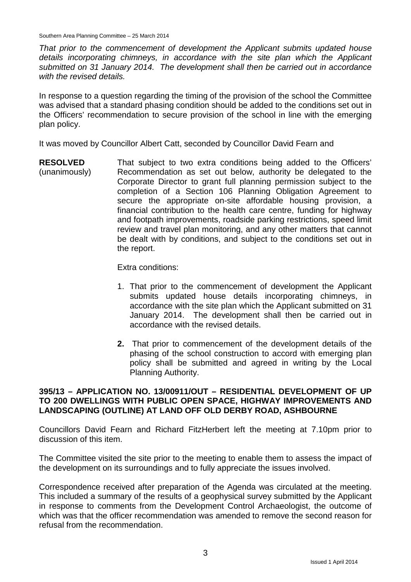*That prior to the commencement of development the Applicant submits updated house details incorporating chimneys, in accordance with the site plan which the Applicant submitted on 31 January 2014. The development shall then be carried out in accordance with the revised details.*

In response to a question regarding the timing of the provision of the school the Committee was advised that a standard phasing condition should be added to the conditions set out in the Officers' recommendation to secure provision of the school in line with the emerging plan policy.

It was moved by Councillor Albert Catt, seconded by Councillor David Fearn and

**RESOLVED** (unanimously) That subject to two extra conditions being added to the Officers' Recommendation as set out below, authority be delegated to the Corporate Director to grant full planning permission subject to the completion of a Section 106 Planning Obligation Agreement to secure the appropriate on-site affordable housing provision, a financial contribution to the health care centre, funding for highway and footpath improvements, roadside parking restrictions, speed limit review and travel plan monitoring, and any other matters that cannot be dealt with by conditions, and subject to the conditions set out in the report.

Extra conditions:

- 1. That prior to the commencement of development the Applicant submits updated house details incorporating chimneys, in accordance with the site plan which the Applicant submitted on 31 January 2014. The development shall then be carried out in accordance with the revised details.
- **2.** That prior to commencement of the development details of the phasing of the school construction to accord with emerging plan policy shall be submitted and agreed in writing by the Local Planning Authority.

## **395/13 – APPLICATION NO. 13/00911/OUT – RESIDENTIAL DEVELOPMENT OF UP TO 200 DWELLINGS WITH PUBLIC OPEN SPACE, HIGHWAY IMPROVEMENTS AND LANDSCAPING (OUTLINE) AT LAND OFF OLD DERBY ROAD, ASHBOURNE**

Councillors David Fearn and Richard FitzHerbert left the meeting at 7.10pm prior to discussion of this item.

The Committee visited the site prior to the meeting to enable them to assess the impact of the development on its surroundings and to fully appreciate the issues involved.

Correspondence received after preparation of the Agenda was circulated at the meeting. This included a summary of the results of a geophysical survey submitted by the Applicant in response to comments from the Development Control Archaeologist, the outcome of which was that the officer recommendation was amended to remove the second reason for refusal from the recommendation.